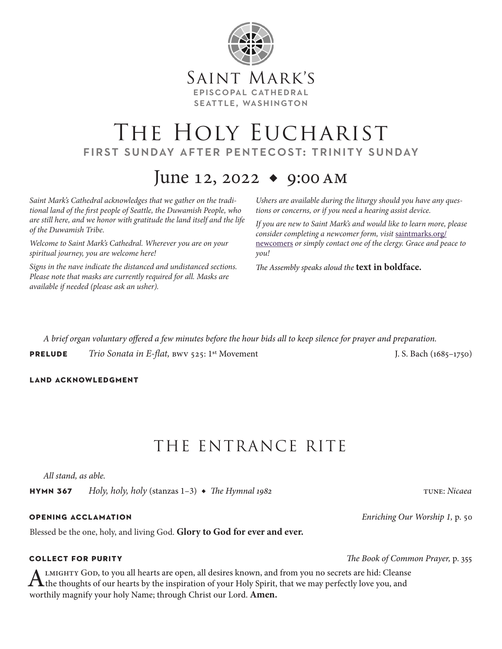

# THE HOLY EUCHARIST first sunday after pentecost: trinity sunday

# June 12, 2022  $\bullet$  9:00 AM

*Saint Mark's Cathedral acknowledges that we gather on the traditional land of the first people of Seattle, the Duwamish People, who are still here, and we honor with gratitude the land itself and the life of the Duwamish Tribe.* 

*Welcome to Saint Mark's Cathedral. Wherever you are on your spiritual journey, you are welcome here!*

*Signs in the nave indicate the distanced and undistanced sections. Please note that masks are currently required for all. Masks are available if needed (please ask an usher).*

*Ushers are available during the liturgy should you have any questions or concerns, or if you need a hearing assist device.*

*If you are new to Saint Mark's and would like to learn more, please consider completing a newcomer form, visit* saintmarks.org/ newcomers *or simply contact one of the clergy. Grace and peace to you!*

*The Assembly speaks aloud the* **text in boldface.**

*A brief organ voluntary offered a few minutes before the hour bids all to keep silence for prayer and preparation.* **PRELUDE** *Trio Sonata in E-flat,* bwv 525: 1<sup>st</sup> Movement J. S. Bach (1685–1750)

### **land acknowledgment**

# THE ENTRANCE RITE

*All stand, as able.*

**hymn 367** *Holy, holy, holy* (stanzas 1−3) ◆ *The Hymnal 1982* **tune:** *Nicaea* 

Blessed be the one, holy, and living God. **Glory to God for ever and ever.**

ALMIGHTY GOD, to you all hearts are open, all desires known, and from you no secrets are hid: Cleanse<br>the thoughts of our hearts by the inspiration of your Holy Spirit, that we may perfectly love you, and worthily magnify your holy Name; through Christ our Lord. **Amen.**

**opening acclamation** *Enriching Our Worship 1,* p. 50

**collect for purity** *The Book of Common Prayer,* p. 355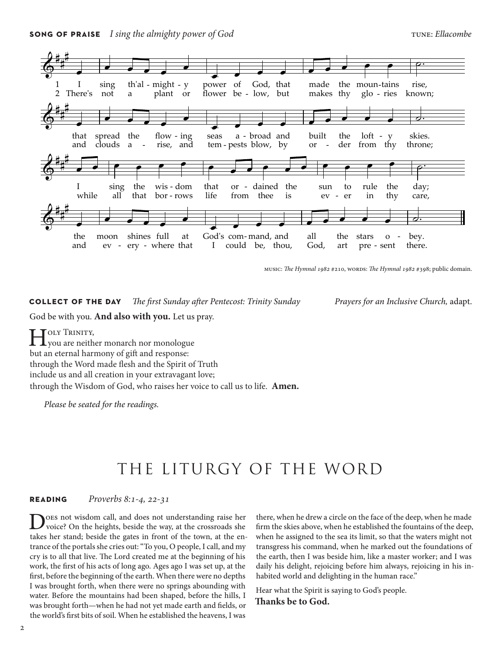

music: *The Hymnal 1982* #210, words: *The Hymnal 1982* #398; public domain.

**collect of the day** *The first Sunday after Pentecost: Trinity Sunday Prayers for an Inclusive Church,* adapt.

God be with you. **And also with you.** Let us pray.

Holy TRINITY,<br>
you are neither monarch nor monologue but an eternal harmony of gift and response: through the Word made flesh and the Spirit of Truth include us and all creation in your extravagant love; through the Wisdom of God, who raises her voice to call us to life. **Amen.**

*Please be seated for the readings.*

## THE LITURGY OF THE WORD

**reading** *Proverbs 8:1-4, 22-31*

Does not wisdom call, and does not understanding raise her voice? On the heights, beside the way, at the crossroads she takes her stand; beside the gates in front of the town, at the entrance of the portals she cries out: "To you, O people, I call, and my cry is to all that live. The Lord created me at the beginning of his work, the first of his acts of long ago. Ages ago I was set up, at the first, before the beginning of the earth. When there were no depths I was brought forth, when there were no springs abounding with water. Before the mountains had been shaped, before the hills, I was brought forth—when he had not yet made earth and fields, or the world's first bits of soil. When he established the heavens, I was

there, when he drew a circle on the face of the deep, when he made firm the skies above, when he established the fountains of the deep, when he assigned to the sea its limit, so that the waters might not transgress his command, when he marked out the foundations of the earth, then I was beside him, like a master worker; and I was daily his delight, rejoicing before him always, rejoicing in his inhabited world and delighting in the human race."

Hear what the Spirit is saying to God's people. **Thanks be to God.**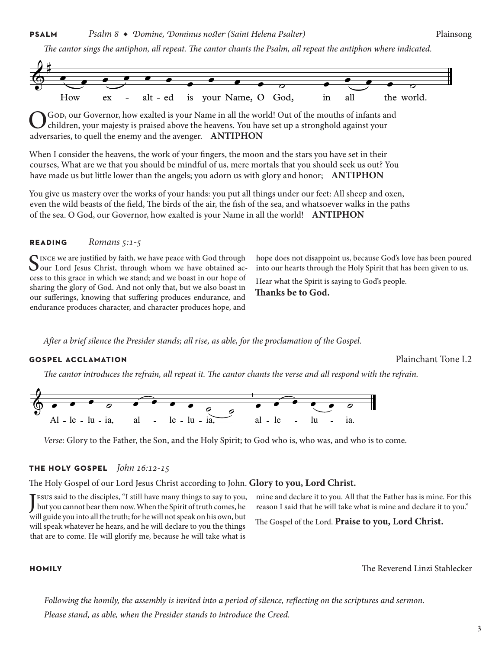*The cantor sings the antiphon, all repeat. The cantor chants the Psalm, all repeat the antiphon where indicated.*



GOD, our Governor, how exalted is your Name in all the world! Out of the mouths of infants and children, your majesty is praised above the heavens. You have set up a stronghold against your adversaries, to quell the enemy and the avenger. **ANTIPHON**

When I consider the heavens, the work of your fingers, the moon and the stars you have set in their courses, What are we that you should be mindful of us, mere mortals that you should seek us out? You have made us but little lower than the angels; you adorn us with glory and honor; **ANTIPHON**

You give us mastery over the works of your hands: you put all things under our feet: All sheep and oxen, even the wild beasts of the field, The birds of the air, the fish of the sea, and whatsoever walks in the paths of the sea. O God, our Governor, how exalted is your Name in all the world! **ANTIPHON**

#### **reading** *Romans 5:1-5*

 $\bigcap$  INCE we are justified by faith, we have peace with God through  $\mathbf{O}_{\text{our}$  Lord Jesus Christ, through whom we have obtained access to this grace in which we stand; and we boast in our hope of sharing the glory of God. And not only that, but we also boast in our sufferings, knowing that suffering produces endurance, and endurance produces character, and character produces hope, and

hope does not disappoint us, because God's love has been poured into our hearts through the Holy Spirit that has been given to us.

Hear what the Spirit is saying to God's people.

**Thanks be to God.**

*After a brief silence the Presider stands; all rise, as able, for the proclamation of the Gospel.*

#### **gospel acclamation** Plainchant Tone I.2

*The cantor introduces the refrain, all repeat it. The cantor chants the verse and all respond with the refrain.*



*Verse:* Glory to the Father, the Son, and the Holy Spirit; to God who is, who was, and who is to come.

## **the holy gospel** *John 16:12-15*

The Holy Gospel of our Lord Jesus Christ according to John. **Glory to you, Lord Christ.**

**J** Esus said to the disciples, "I still have many things to say to you,<br>but you cannot bear them now. When the Spirit of truth comes, he **T** ESUS said to the disciples, "I still have many things to say to you, will guide you into all the truth; for he will not speak on his own, but will speak whatever he hears, and he will declare to you the things that are to come. He will glorify me, because he will take what is

mine and declare it to you. All that the Father has is mine. For this reason I said that he will take what is mine and declare it to you."

The Gospel of the Lord. **Praise to you, Lord Christ.**

**homily** The Reverend Linzi Stahlecker

*Following the homily, the assembly is invited into a period of silence, reflecting on the scriptures and sermon. Please stand, as able, when the Presider stands to introduce the Creed.*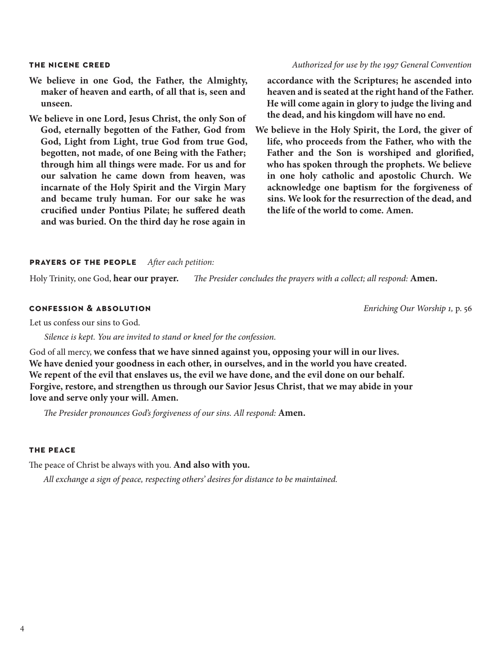- **We believe in one God, the Father, the Almighty, maker of heaven and earth, of all that is, seen and unseen.**
- **We believe in one Lord, Jesus Christ, the only Son of God, eternally begotten of the Father, God from God, Light from Light, true God from true God, begotten, not made, of one Being with the Father; through him all things were made. For us and for our salvation he came down from heaven, was incarnate of the Holy Spirit and the Virgin Mary and became truly human. For our sake he was crucified under Pontius Pilate; he suffered death and was buried. On the third day he rose again in**

#### **the nicene creed** *Authorized for use by the 1997 General Convention*

**accordance with the Scriptures; he ascended into heaven and is seated at the right hand of the Father. He will come again in glory to judge the living and the dead, and his kingdom will have no end.**

**We believe in the Holy Spirit, the Lord, the giver of life, who proceeds from the Father, who with the Father and the Son is worshiped and glorified, who has spoken through the prophets. We believe in one holy catholic and apostolic Church. We acknowledge one baptism for the forgiveness of sins. We look for the resurrection of the dead, and the life of the world to come. Amen.**

#### **prayers of the people** *After each petition:*

Holy Trinity, one God, **hear our prayer.** *The Presider concludes the prayers with a collect; all respond:* **Amen.**

#### **confession & absolution** *Enriching Our Worship 1,* p. 56

Let us confess our sins to God.

*Silence is kept. You are invited to stand or kneel for the confession.*

God of all mercy, **we confess that we have sinned against you, opposing your will in our lives. We have denied your goodness in each other, in ourselves, and in the world you have created. We repent of the evil that enslaves us, the evil we have done, and the evil done on our behalf. Forgive, restore, and strengthen us through our Savior Jesus Christ, that we may abide in your love and serve only your will. Amen.**

*The Presider pronounces God's forgiveness of our sins. All respond:* **Amen.**

#### **the peace**

The peace of Christ be always with you. **And also with you.**

*All exchange a sign of peace, respecting others' desires for distance to be maintained.*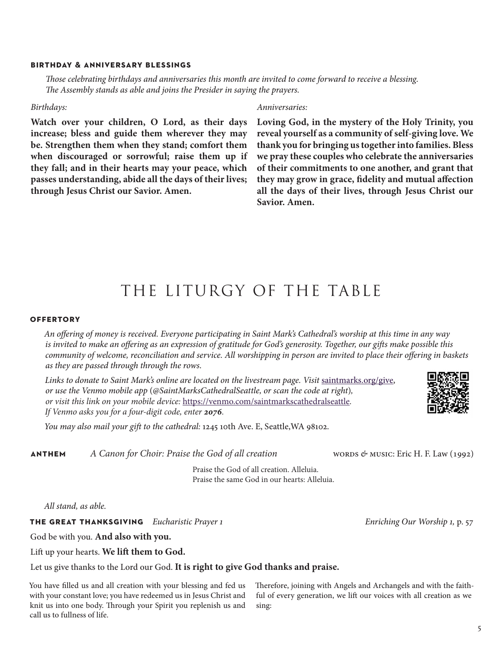#### **birthday & anniversary blessings**

*Those celebrating birthdays and anniversaries this month are invited to come forward to receive a blessing. The Assembly stands as able and joins the Presider in saying the prayers.*

#### *Birthdays:*

**Watch over your children, O Lord, as their days increase; bless and guide them wherever they may be. Strengthen them when they stand; comfort them when discouraged or sorrowful; raise them up if they fall; and in their hearts may your peace, which passes understanding, abide all the days of their lives; through Jesus Christ our Savior. Amen.**

#### *Anniversaries:*

**Loving God, in the mystery of the Holy Trinity, you reveal yourself as a community of self-giving love. We thank you for bringing us together into families. Bless we pray these couples who celebrate the anniversaries of their commitments to one another, and grant that they may grow in grace, fidelity and mutual affection all the days of their lives, through Jesus Christ our Savior. Amen.**

## THE LITURGY OF THE TABLE

#### **offertory**

*An offering of money is received. Everyone participating in Saint Mark's Cathedral's worship at this time in any way is invited to make an offering as an expression of gratitude for God's generosity. Together, our gifts make possible this community of welcome, reconciliation and service. All worshipping in person are invited to place their offering in baskets as they are passed through through the rows.* 

Links to donate to Saint Mark's online are located on the livestream page. Visit [saintmarks.org/give,](http://saintmarks.org/give) *or use the Venmo mobile app* (*@SaintMarksCathedralSeattle, or scan the code at right*)*, or visit this link on your mobile device:* <https://venmo.com/saintmarkscathedralseattle>*. If Venmo asks you for a four-digit code, enter 2076.*



**ANTHEM** *A Canon for Choir: Praise the God of all creation* words  $\&$  music: Eric H. F. Law (1992)

Praise the God of all creation. Alleluia. Praise the same God in our hearts: Alleluia.

*All stand, as able.*

**the great thanksgiving** *Eucharistic Prayer 1 Enriching Our Worship 1,* p. 57

God be with you. **And also with you.** 

Lift up your hearts. **We lift them to God.** 

### Let us give thanks to the Lord our God. **It is right to give God thanks and praise.**

You have filled us and all creation with your blessing and fed us with your constant love; you have redeemed us in Jesus Christ and knit us into one body. Through your Spirit you replenish us and call us to fullness of life.

Therefore, joining with Angels and Archangels and with the faithful of every generation, we lift our voices with all creation as we sing:



5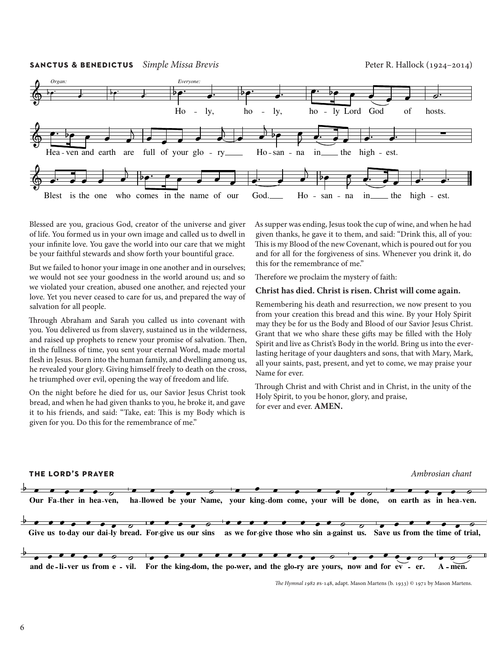#### **sanctus & benedictus** *Simple Missa Brevis* Peter R. Hallock (1924–2014)



Blessed are you, gracious God, creator of the universe and giver of life. You formed us in your own image and called us to dwell in your infinite love. You gave the world into our care that we might be your faithful stewards and show forth your bountiful grace.

But we failed to honor your image in one another and in ourselves; we would not see your goodness in the world around us; and so we violated your creation, abused one another, and rejected your love. Yet you never ceased to care for us, and prepared the way of salvation for all people.

Through Abraham and Sarah you called us into covenant with you. You delivered us from slavery, sustained us in the wilderness, and raised up prophets to renew your promise of salvation. Then, in the fullness of time, you sent your eternal Word, made mortal flesh in Jesus. Born into the human family, and dwelling among us, he revealed your glory. Giving himself freely to death on the cross, he triumphed over evil, opening the way of freedom and life.

On the night before he died for us, our Savior Jesus Christ took bread, and when he had given thanks to you, he broke it, and gave it to his friends, and said: "Take, eat: This is my Body which is given for you. Do this for the remembrance of me."

As supper was ending, Jesus took the cup of wine, and when he had given thanks, he gave it to them, and said: "Drink this, all of you: This is my Blood of the new Covenant, which is poured out for you and for all for the forgiveness of sins. Whenever you drink it, do this for the remembrance of me."

Therefore we proclaim the mystery of faith:

#### **Christ has died. Christ is risen. Christ will come again.**

Remembering his death and resurrection, we now present to you from your creation this bread and this wine. By your Holy Spirit may they be for us the Body and Blood of our Savior Jesus Christ. Grant that we who share these gifts may be filled with the Holy Spirit and live as Christ's Body in the world. Bring us into the everlasting heritage of your daughters and sons, that with Mary, Mark, all your saints, past, present, and yet to come, we may praise your Name for ever.

Through Christ and with Christ and in Christ, in the unity of the Holy Spirit, to you be honor, glory, and praise, for ever and ever. **AMEN.**



*The Hymnal 1982* #s-148, adapt. Mason Martens (b. 1933) © 1971 by Mason Martens.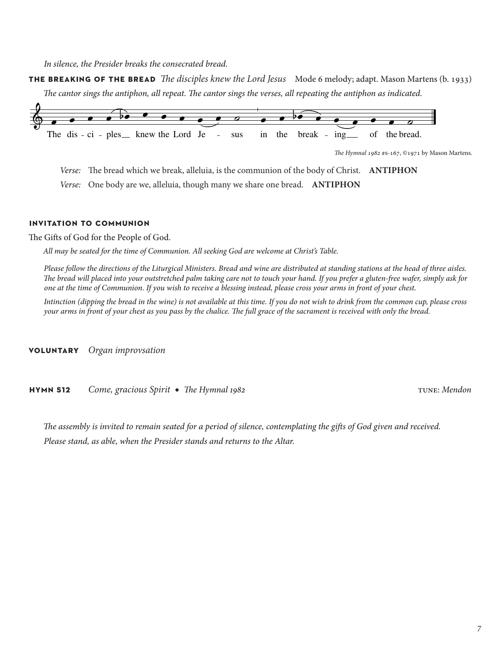*In silence, the Presider breaks the consecrated bread.*

**the breaking of the bread** *The disciples knew the Lord Jesus* Mode 6 melody; adapt. Mason Martens (b. 1933) *The cantor sings the antiphon, all repeat. The cantor sings the verses, all repeating the antiphon as indicated.*



*The Hymnal 1982* #s-167, ©1971 by Mason Martens.

*Verse:* The bread which we break, alleluia, is the communion of the body of Christ. **ANTIPHON**

*Verse:* One body are we, alleluia, though many we share one bread. **ANTIPHON**

#### **invitation to communion**

The Gifts of God for the People of God.

*All may be seated for the time of Communion. All seeking God are welcome at Christ's Table.* 

*Please follow the directions of the Liturgical Ministers. Bread and wine are distributed at standing stations at the head of three aisles. The bread will placed into your outstretched palm taking care not to touch your hand. If you prefer a gluten-free wafer, simply ask for one at the time of Communion. If you wish to receive a blessing instead, please cross your arms in front of your chest.*

*Intinction (dipping the bread in the wine) is not available at this time. If you do not wish to drink from the common cup, please cross your arms in front of your chest as you pass by the chalice. The full grace of the sacrament is received with only the bread.*

**voluntary** *Organ improvsation*

**hymn 512** *Come, gracious Spirit ◆ The Hymnal 1982* tune: *Mendon* **TUNE:** *Mendon* 

*The assembly is invited to remain seated for a period of silence, contemplating the gifts of God given and received. Please stand, as able, when the Presider stands and returns to the Altar.*